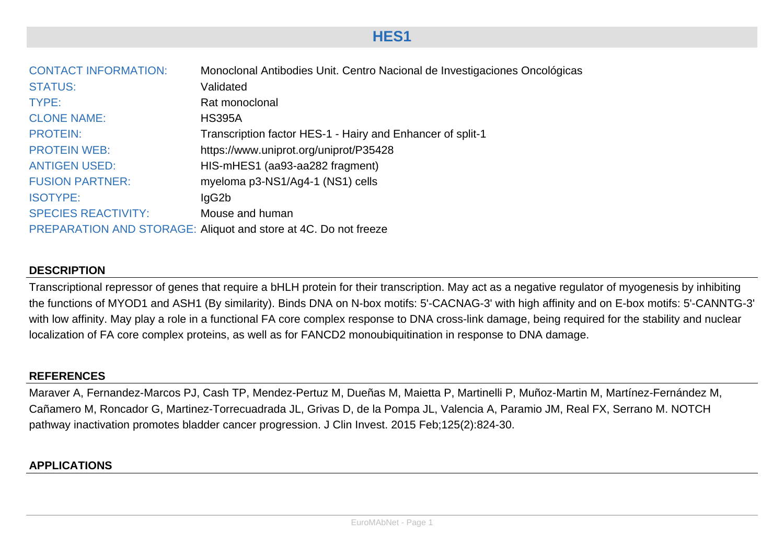## **HES1**

| <b>CONTACT INFORMATION:</b> | Monoclonal Antibodies Unit. Centro Nacional de Investigaciones Oncológicas |
|-----------------------------|----------------------------------------------------------------------------|
| <b>STATUS:</b>              | Validated                                                                  |
| TYPE:                       | Rat monoclonal                                                             |
| <b>CLONE NAME:</b>          | <b>HS395A</b>                                                              |
| <b>PROTEIN:</b>             | Transcription factor HES-1 - Hairy and Enhancer of split-1                 |
| <b>PROTEIN WEB:</b>         | https://www.uniprot.org/uniprot/P35428                                     |
| <b>ANTIGEN USED:</b>        | HIS-mHES1 (aa93-aa282 fragment)                                            |
| <b>FUSION PARTNER:</b>      | myeloma p3-NS1/Ag4-1 (NS1) cells                                           |
| <b>ISOTYPE:</b>             | lgG2b                                                                      |
| <b>SPECIES REACTIVITY:</b>  | Mouse and human                                                            |
|                             | PREPARATION AND STORAGE: Aliquot and store at 4C. Do not freeze            |

## **DESCRIPTION**

Transcriptional repressor of genes that require a bHLH protein for their transcription. May act as a negative regulator of myogenesis by inhibiting the functions of MYOD1 and ASH1 (By similarity). Binds DNA on N-box motifs: 5'-CACNAG-3' with high affinity and on E-box motifs: 5'-CANNTG-3' with low affinity. May play a role in a functional FA core complex response to DNA cross-link damage, being required for the stability and nuclear localization of FA core complex proteins, as well as for FANCD2 monoubiquitination in response to DNA damage.

## **REFERENCES**

Maraver A, Fernandez-Marcos PJ, Cash TP, Mendez-Pertuz M, Dueñas M, Maietta P, Martinelli P, Muñoz-Martin M, Martínez-Fernández M, Cañamero M, Roncador G, Martinez-Torrecuadrada JL, Grivas D, de la Pompa JL, Valencia A, Paramio JM, Real FX, Serrano M. NOTCH pathway inactivation promotes bladder cancer progression. J Clin Invest. 2015 Feb;125(2):824-30.

## **APPLICATIONS**